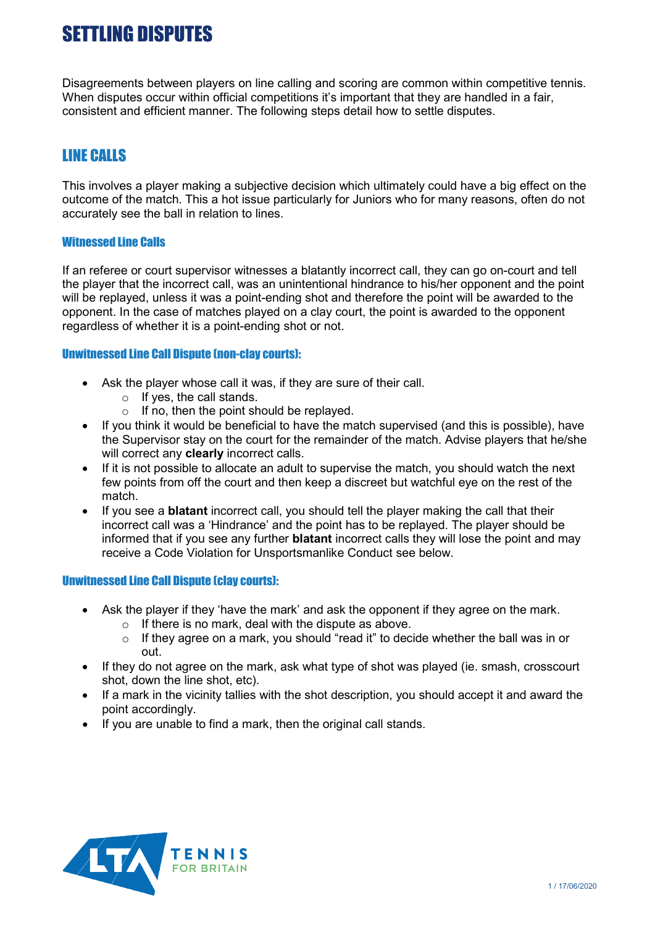# SETTLING DISPUTES

Disagreements between players on line calling and scoring are common within competitive tennis. When disputes occur within official competitions it's important that they are handled in a fair, consistent and efficient manner. The following steps detail how to settle disputes.

## LINE CALLS

This involves a player making a subjective decision which ultimately could have a big effect on the outcome of the match. This a hot issue particularly for Juniors who for many reasons, often do not accurately see the ball in relation to lines.

#### Witnessed Line Calls

If an referee or court supervisor witnesses a blatantly incorrect call, they can go on-court and tell the player that the incorrect call, was an unintentional hindrance to his/her opponent and the point will be replayed, unless it was a point-ending shot and therefore the point will be awarded to the opponent. In the case of matches played on a clay court, the point is awarded to the opponent regardless of whether it is a point-ending shot or not.

#### Unwitnessed Line Call Dispute (non-clay courts):

- Ask the player whose call it was, if they are sure of their call.
	- o If yes, the call stands.
	- $\circ$  If no, then the point should be replayed.
- If you think it would be beneficial to have the match supervised (and this is possible), have the Supervisor stay on the court for the remainder of the match. Advise players that he/she will correct any **clearly** incorrect calls.
- If it is not possible to allocate an adult to supervise the match, you should watch the next few points from off the court and then keep a discreet but watchful eye on the rest of the match.
- If you see a **blatant** incorrect call, you should tell the player making the call that their incorrect call was a 'Hindrance' and the point has to be replayed. The player should be informed that if you see any further **blatant** incorrect calls they will lose the point and may receive a Code Violation for Unsportsmanlike Conduct see below.

#### Unwitnessed Line Call Dispute (clay courts):

- Ask the player if they 'have the mark' and ask the opponent if they agree on the mark.
	- $\circ$  If there is no mark, deal with the dispute as above.
	- $\circ$  If they agree on a mark, you should "read it" to decide whether the ball was in or out.
- If they do not agree on the mark, ask what type of shot was played (ie. smash, crosscourt shot, down the line shot, etc).
- If a mark in the vicinity tallies with the shot description, you should accept it and award the point accordingly.
- If you are unable to find a mark, then the original call stands.